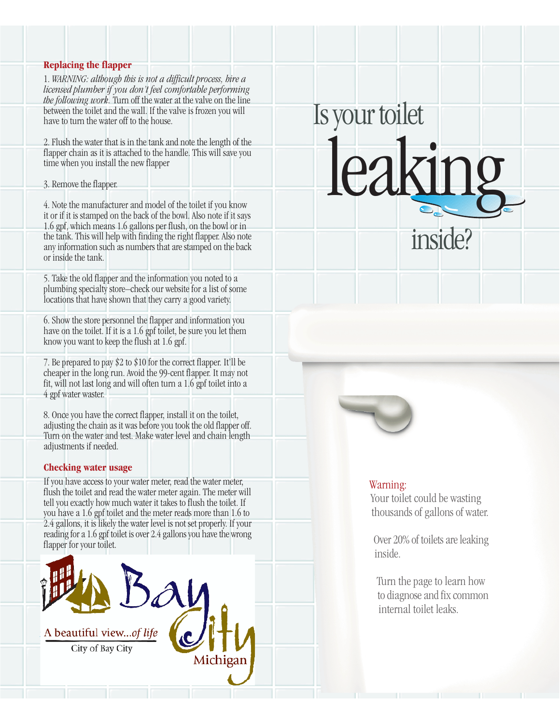### **Replacing the flapper**

1. *WARNING: although this is not a difficult process, hire a licensed plumber if you don't feel comfortable performing the following work.* Turn off the water at the valve on the line between the toilet and the wall. If the valve is frozen you will have to turn the water off to the house.

2. Flush the water that is in the tank and note the length of the flapper chain as it is attached to the handle. This will save you time when you install the new flapper

3. Remove the flapper.

4. Note the manufacturer and model of the toilet if you know it or if it is stamped on the back of the bowl. Also note if it says 1.6 gpf, which means 1.6 gallons per flush, on the bowl or in the tank. This will help with finding the right flapper. Also note any information such as numbers that are stamped on the back or inside the tank.

5. Take the old flapper and the information you noted to a plumbing specialty store–check our website for a list of some locations that have shown that they carry a good variety.

6. Show the store personnel the flapper and information you have on the toilet. If it is a 1.6 gpf toilet, be sure you let them know you want to keep the flush at 1.6 gpf.

7. Be prepared to pay \$2 to \$10 for the correct flapper. It'll be cheaper in the long run. Avoid the 99-cent flapper. It may not fit, will not last long and will often turn a 1.6 gpf toilet into a 4 gpf water waster.

8. Once you have the correct flapper, install it on the toilet, adjusting the chain as it was before you took the old flapper off. Turn on the water and test. Make water level and chain length adjustments if needed.

## **Checking water usage**

If you have access to your water meter, read the water meter, flush the toilet and read the water meter again. The meter will tell you exactly how much water it takes to flush the toilet. If you have a 1.6 gpf toilet and the meter reads more than 1.6 to 2.4 gallons, it is likely the water level is not set properly. If your reading for a 1.6 gpf toilet is over 2.4 gallons you have the wrong flapper for your toilet.





Is your toilet

leaking

inside?

## Warning:

Your toilet could be wasting thousands of gallons of water.

Over 20% of toilets are leaking inside.

Turn the page to learn how to diagnose and fix common internal toilet leaks.